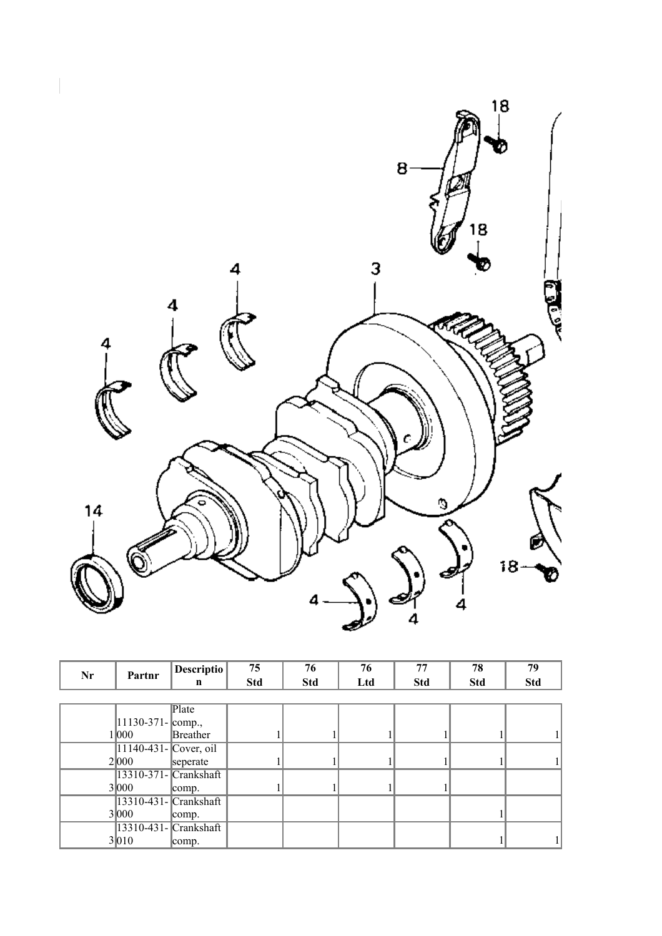

| Nr | Partnr                   | <b>Descriptio</b>         | 75         | 76         | 76  | 77         | 78         | 79         |
|----|--------------------------|---------------------------|------------|------------|-----|------------|------------|------------|
|    |                          | n                         | <b>Std</b> | <b>Std</b> | Ltd | <b>Std</b> | <b>Std</b> | <b>Std</b> |
|    |                          |                           |            |            |     |            |            |            |
|    |                          | Plate                     |            |            |     |            |            |            |
|    | $ 11130-371- comp.,$     |                           |            |            |     |            |            |            |
|    | 1 000                    | Breather                  |            |            |     |            |            |            |
|    | $11140-431$ - Cover, oil |                           |            |            |     |            |            |            |
|    | 2 000                    | seperate                  |            |            |     |            |            |            |
|    |                          | $ 13310-371- Crankshaff $ |            |            |     |            |            |            |
|    | 3000                     | [comp.                    |            |            |     |            |            |            |
|    |                          | $13310-431$ - Crankshaft  |            |            |     |            |            |            |
|    | 3000                     | [comp.                    |            |            |     |            |            |            |
|    |                          | 13310-431- Crankshaft     |            |            |     |            |            |            |
|    | 3 010                    | comp.                     |            |            |     |            |            |            |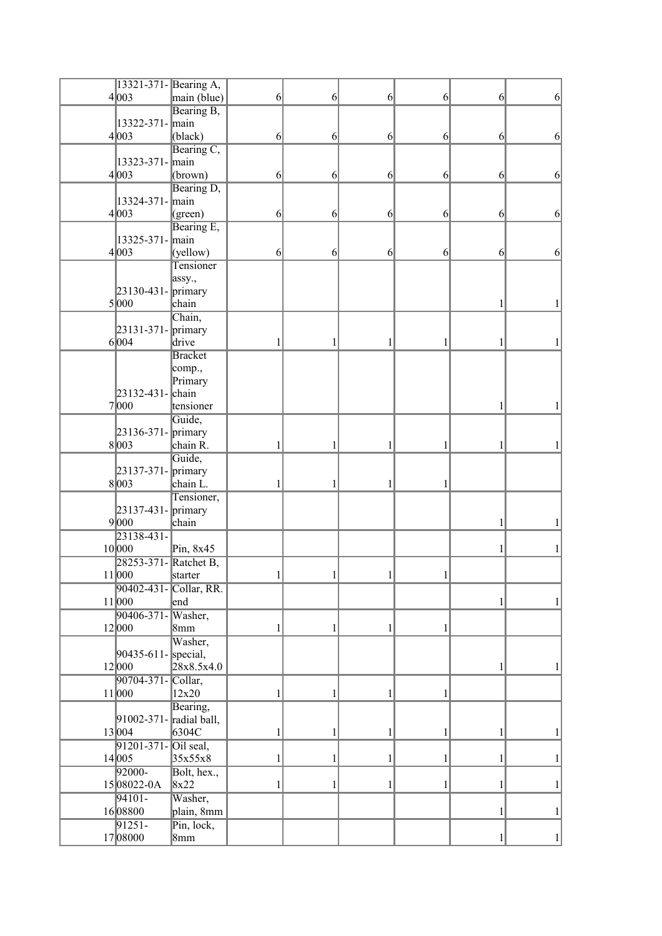| 13321-371- Bearing A,  |                |   |            |           |   |   |                 |
|------------------------|----------------|---|------------|-----------|---|---|-----------------|
| 4 003                  | main (blue)    | 6 | 6          | $6 \vert$ | 6 | 6 | 6               |
|                        | Bearing B,     |   |            |           |   |   |                 |
| 13322-371- main        |                |   |            |           |   |   |                 |
| 4 003                  | (black)        | 6 | 6          | $6 \vert$ | 6 | 6 | $6 \times$      |
|                        | Bearing C,     |   |            |           |   |   |                 |
| 13323-371- main        |                |   |            |           |   |   |                 |
| 4 003                  | (brown)        |   | $6 \times$ | $6 \vert$ |   | 6 | $6 \times$      |
|                        |                | 6 |            |           | 6 |   |                 |
|                        | Bearing D,     |   |            |           |   |   |                 |
| 13324-371- main        |                |   |            |           |   |   |                 |
| 4 003                  | (green)        | 6 | 6          | 6         | 6 | 6 | 6               |
|                        | Bearing E,     |   |            |           |   |   |                 |
| 13325-371- main        |                |   |            |           |   |   |                 |
| 4 003                  | (yellow)       | 6 | 6          | 6         | 6 | 6 | $\vert 6 \vert$ |
|                        | Tensioner      |   |            |           |   |   |                 |
|                        | assy.,         |   |            |           |   |   |                 |
| 23130-431- primary     |                |   |            |           |   |   |                 |
| 5 000                  | chain          |   |            |           |   |   |                 |
|                        | Chain,         |   |            |           |   |   |                 |
| 23131-371- primary     |                |   |            |           |   |   |                 |
| 6 004                  | drive          |   |            |           |   |   | 1               |
|                        | <b>Bracket</b> |   |            |           |   |   |                 |
|                        |                |   |            |           |   |   |                 |
|                        | comp.,         |   |            |           |   |   |                 |
|                        | Primary        |   |            |           |   |   |                 |
| 23132-431-             | chain          |   |            |           |   |   |                 |
| 7 000                  | tensioner      |   |            |           |   | 1 | $\mathbf{1}$    |
|                        | Guide,         |   |            |           |   |   |                 |
| 23136-371-             | primary        |   |            |           |   |   |                 |
| 8003                   | chain R.       |   |            |           |   |   |                 |
|                        | Guide,         |   |            |           |   |   |                 |
| 23137-371-             | primary        |   |            |           |   |   |                 |
| 8003                   | chain L.       |   |            |           |   |   |                 |
|                        | Tensioner,     |   |            |           |   |   |                 |
| 23137-431- primary     |                |   |            |           |   |   |                 |
| 9 000                  | chain          |   |            |           |   | 1 | 1               |
| 23138-431-             |                |   |            |           |   |   |                 |
| 10000                  | Pin, 8x45      |   |            |           |   |   | 1               |
| 28253-371-Ratchet B,   |                |   |            |           |   |   |                 |
|                        |                |   | 1          |           |   |   |                 |
| 11 000                 | starter        |   |            |           |   |   |                 |
| 90402-431- Collar, RR. |                |   |            |           |   |   |                 |
| 11 000                 | end            |   |            |           |   |   | $\frac{1}{2}$   |
| 90406-371-             | Washer,        |   |            |           |   |   |                 |
| 12 000                 | 8mm            | 1 | 1          | 1         | 1 |   |                 |
|                        | Washer,        |   |            |           |   |   |                 |
| 90435-611-             | special,       |   |            |           |   |   |                 |
| 12 000                 | 28x8.5x4.0     |   |            |           |   |   |                 |
| 90704-371-             | Collar,        |   |            |           |   |   |                 |
| 11 000                 | 12x20          | 1 | 1          |           |   |   |                 |
|                        | Bearing,       |   |            |           |   |   |                 |
| 91002-371-             | radial ball,   |   |            |           |   |   |                 |
| 13 004                 |                |   |            |           |   |   |                 |
|                        | 6304C          |   |            |           |   |   |                 |
| $91201 - 371 -$        | Oil seal,      |   |            |           |   |   |                 |
| 14 005                 | 35x55x8        | 1 |            |           |   |   |                 |
| 92000-                 | Bolt, hex.,    |   |            |           |   |   |                 |
| 1508022-0A             | 8x22           | 1 |            |           |   |   | 1               |
| $94101 -$              | Washer,        |   |            |           |   |   |                 |
| 1608800                | plain, 8mm     |   |            |           |   | 1 |                 |
| $91251 -$              | Pin, lock,     |   |            |           |   |   |                 |
| 1708000                | 8mm            |   |            |           |   | 1 | $1\vert$        |
|                        |                |   |            |           |   |   |                 |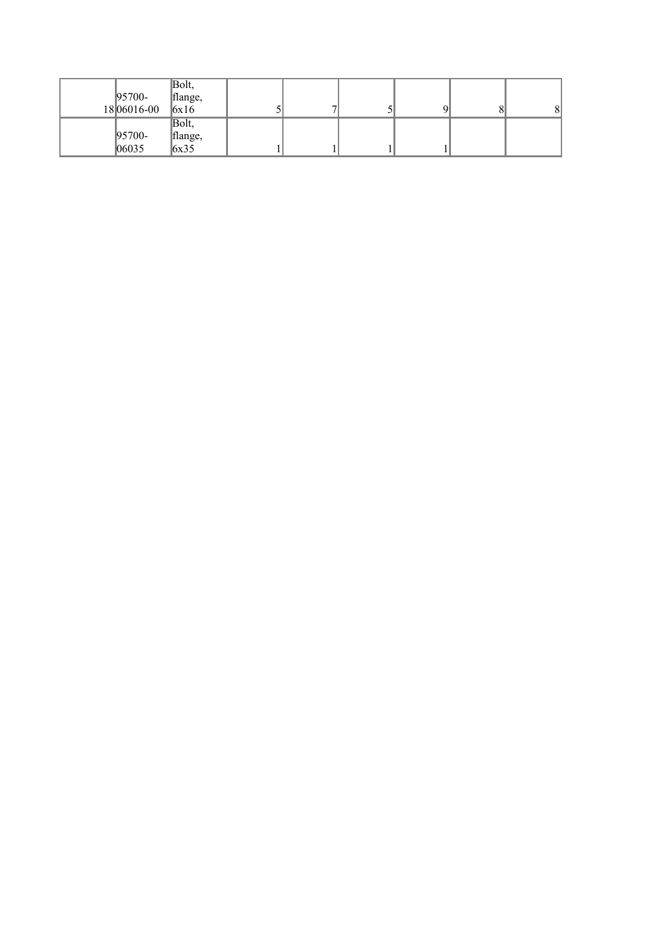|            | Bolt,              |   |  |   |   |
|------------|--------------------|---|--|---|---|
| $ 95700 -$ | flange,            |   |  |   |   |
| 1806016-00 | $\vert 6x16 \vert$ | - |  | Ō | 8 |
|            | Bolt,              |   |  |   |   |
| 95700-     | flange,            |   |  |   |   |
| 06035      | $\vert 6x35 \vert$ |   |  |   |   |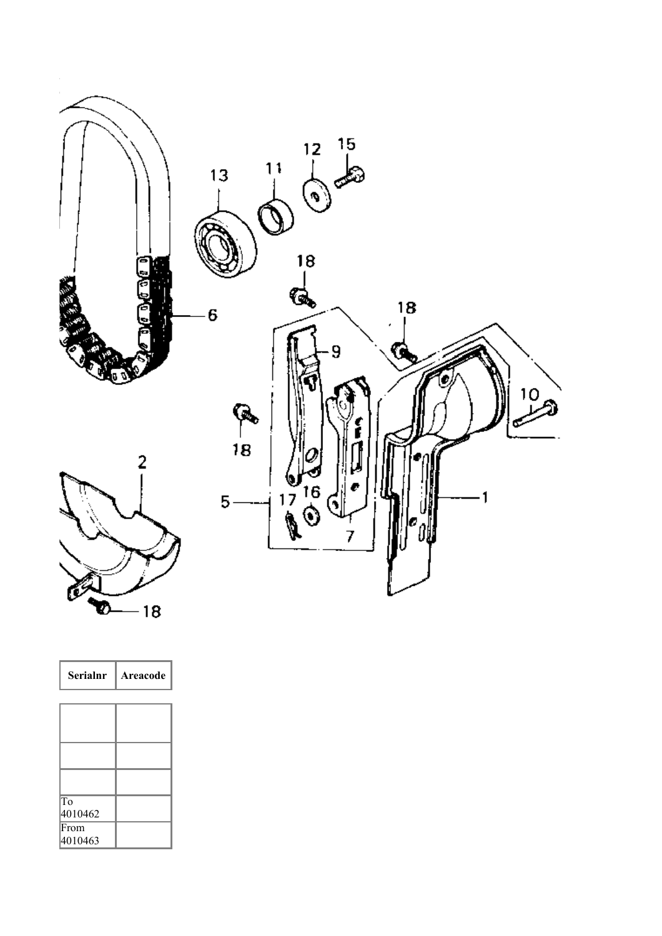

| Serialnr      | Areacode |
|---------------|----------|
|               |          |
|               |          |
|               |          |
|               |          |
|               |          |
| To<br>4010462 |          |
| From          |          |
| 4010463       |          |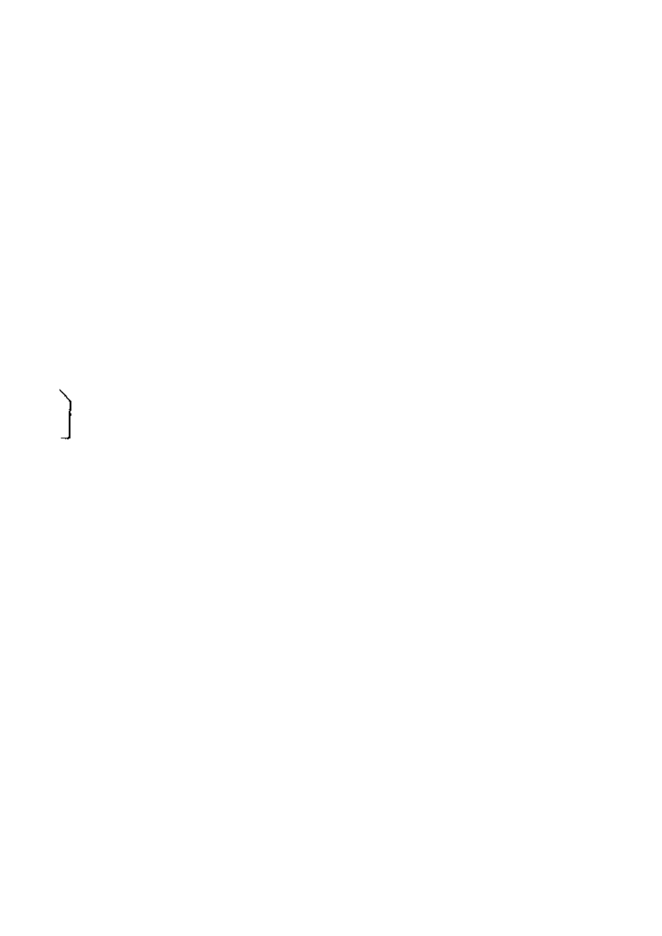$\begin{array}{c} \hline \end{array}$